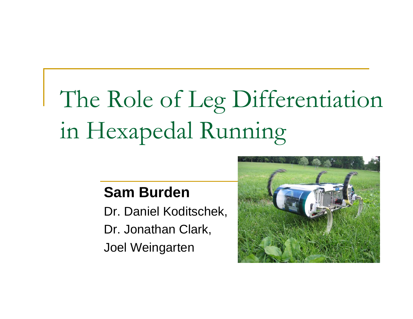# The Role of Leg Differentiation in Hexapedal Running

#### **Sam Burden**

Dr. Daniel Koditschek, Dr. Jonathan Clark, Joel Weingarten

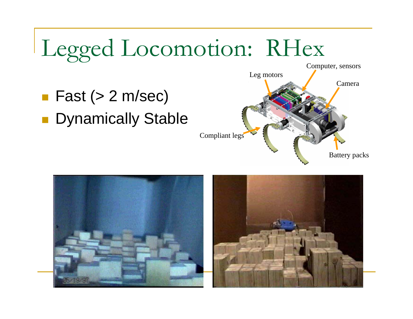

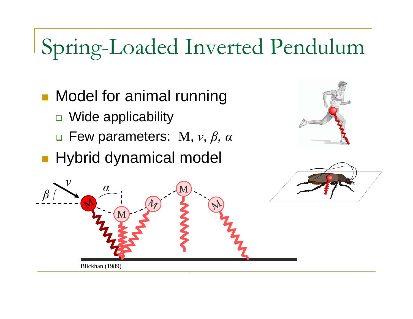### Spring-Loaded Inverted Pendulum

- **Nodel for animal running** 
	- □ Wide applicability
	- Few parameters: M, *<sup>v</sup>*, *β, α*
- **Hybrid dynamical model**





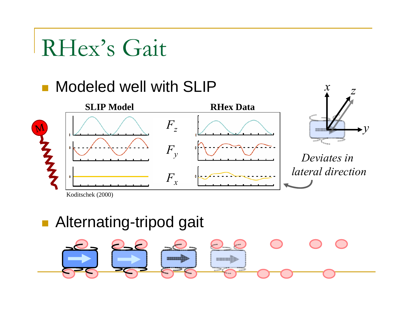### RHex's Gait



Koditschek (2000)

#### **Alternating-tripod gait**

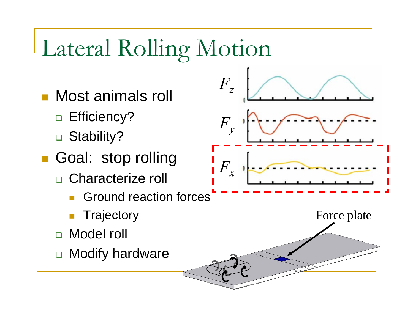## Lateral Rolling Motion

- Most animals roll
	- □ Efficiency?
	- □ Stability?
- Goal: stop rolling
	- □ Characterize roll
		- $\mathbb{R}^3$ Ground reaction forces
		- $\mathbb{R}^3$ **Trajectory**
	- Model roll
	- $\Box$ Modify hardware

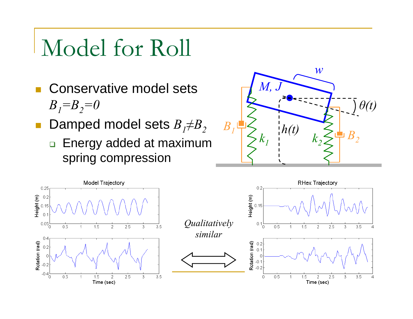### Model for Roll

- **T**  Conservative model sets *B <sup>1</sup>=B <sup>2</sup>=0*
- $\mathbb{R}^n$ ■ Damped model sets  $B$ <sub>*I</sub>≠B*<sub>2</sub></sub>
	- □ Energy added at maximum\_ spring compression



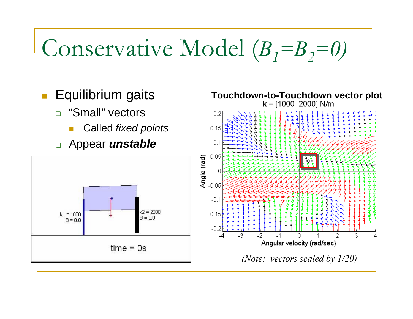## Conservative Model (*<sup>B</sup> <sup>1</sup>=B <sup>2</sup>=0)*

- П Equilibrium gaits
	- □ "Small" vectors
		- Called *fixed points*
	- Appear *unstable*



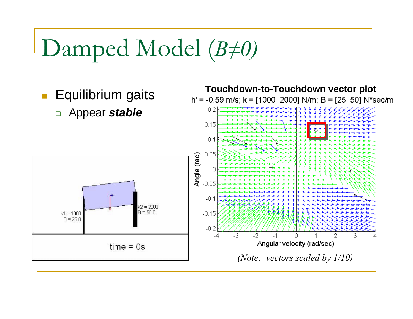## Damped Model (*<sup>B</sup> ≠0)*

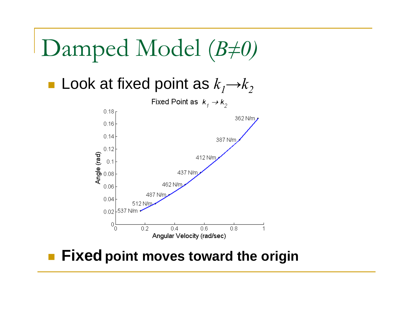### Damped Model (*<sup>B</sup> ≠0)*

■ Look at fixed point as  $k_1$ → $k_2$ 



#### **Fixed point moves toward the origin**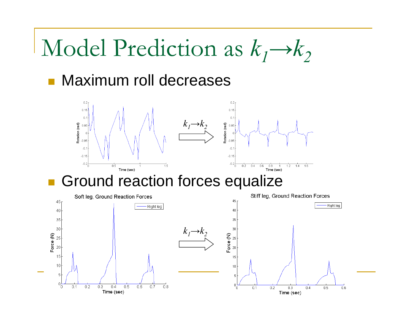### Model Prediction as  $k_1 \rightarrow k_2$

#### **• Maximum roll decreases**

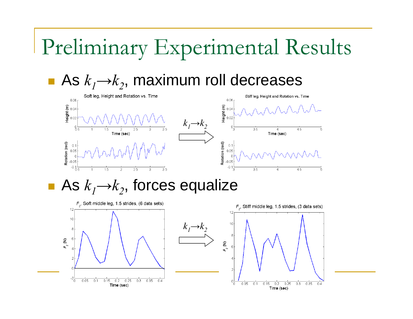### Preliminary Experimental Results

### ■ As  $k_1$ → $k_2$ , maximum roll decreases



As  $k_1 \rightarrow k_2$ , forces equalize

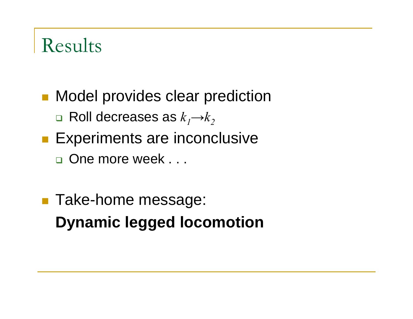### Results

- **Model provides clear prediction** 
	- □ Roll decreases as  $k_1$ → $k_2$
- **Experiments are inconclusive** 
	- □ One more week . . .
- **Take-home message: Dynamic legged locomotion**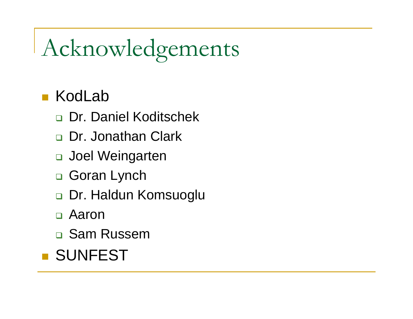## Acknowledgements

#### $\mathcal{L}^{\text{max}}$ KodLab

- □ Dr. Daniel Koditschek
- □ Dr. Jonathan Clark
- Joel Weingarten
- **□ Goran Lynch**
- Dr. Haldun Komsuoglu
- Aaron
- **□ Sam Russem**

### **BISUNFEST**